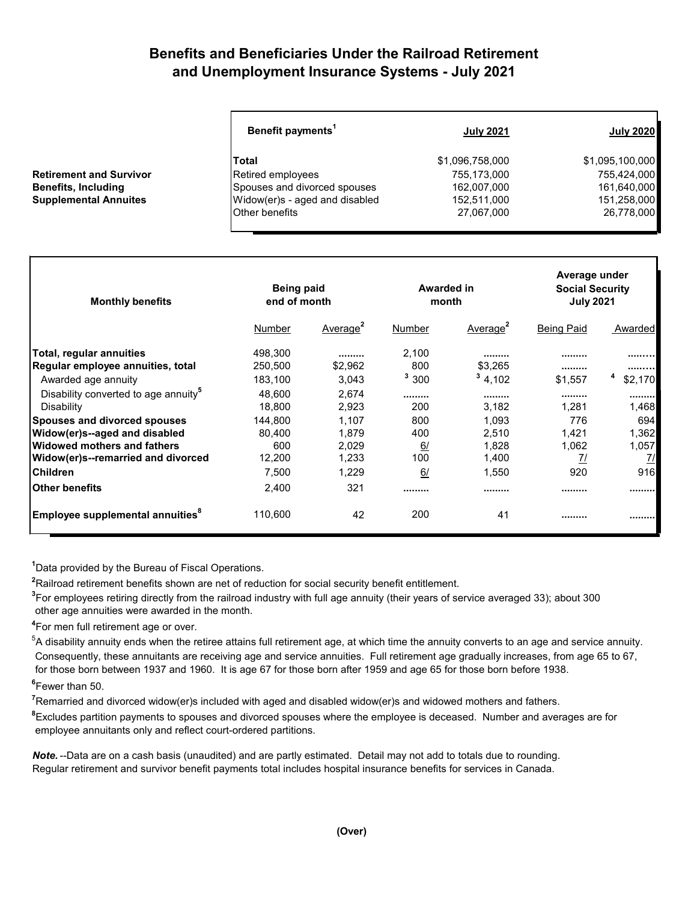## **Benefits and Beneficiaries Under the Railroad Retirement and Unemployment Insurance Systems - July 2021**

|                                | Benefit payments <sup>1</sup>  | <b>July 2021</b> | <b>July 2020</b> |  |
|--------------------------------|--------------------------------|------------------|------------------|--|
|                                | Total                          | \$1,096,758,000  | \$1,095,100,000  |  |
| <b>Retirement and Survivor</b> | Retired employees              | 755,173,000      | 755,424,000      |  |
| <b>Benefits, Including</b>     | Spouses and divorced spouses   | 162,007,000      | 161,640,000      |  |
| <b>Supplemental Annuites</b>   | Widow(er)s - aged and disabled | 152,511,000      | 151,258,000      |  |
|                                | <b>Other benefits</b>          | 27,067,000       | 26,778,000       |  |

| <b>Monthly benefits</b>                               | <b>Being paid</b><br>end of month |                      | Awarded in<br>month |                      | Average under<br><b>Social Security</b><br><b>July 2021</b> |         |
|-------------------------------------------------------|-----------------------------------|----------------------|---------------------|----------------------|-------------------------------------------------------------|---------|
|                                                       | Number                            | Average <sup>2</sup> | Number              | Average <sup>2</sup> | <b>Being Paid</b>                                           | Awarded |
| Total, regular annuities                              | 498,300                           |                      | 2,100               |                      |                                                             |         |
| Regular employee annuities, total                     | 250,500                           | \$2,962              | 800                 | \$3,265              |                                                             |         |
| Awarded age annuity                                   | 183,100                           | 3,043                | 3,300               | 3,4,102              | \$1.557                                                     | \$2,170 |
| Disability converted to age annuity <sup>5</sup>      | 48,600                            | 2,674                |                     |                      |                                                             |         |
| Disability                                            | 18,800                            | 2,923                | 200                 | 3,182                | 1.281                                                       | 1,468   |
| <b>Spouses and divorced spouses</b>                   | 144,800                           | 1,107                | 800                 | 1,093                | 776                                                         | 694     |
| Widow(er)s--aged and disabled                         | 80,400                            | 1,879                | 400                 | 2,510                | 1,421                                                       | 1,362   |
| Widowed mothers and fathers                           | 600                               | 2,029                | 6/                  | 1,828                | 1,062                                                       | 1,057   |
| Widow(er)s--remarried and divorced                    | 12,200                            | 1,233                | 100                 | 1,400                | <u>71</u>                                                   | 7/      |
| Children                                              | 7,500                             | 1,229                | 6/                  | 1,550                | 920                                                         | 916     |
| lOther benefits                                       | 2,400                             | 321                  |                     |                      |                                                             |         |
| <b>Employee supplemental annuities<math>^8</math></b> | 110,600                           | 42                   | 200                 | 41                   |                                                             |         |

**1** Data provided by the Bureau of Fiscal Operations.

**2** Railroad retirement benefits shown are net of reduction for social security benefit entitlement.

**3** For employees retiring directly from the railroad industry with full age annuity (their years of service averaged 33); about 300 other age annuities were awarded in the month.

**4** For men full retirement age or over.

 $^5$ A disability annuity ends when the retiree attains full retirement age, at which time the annuity converts to an age and service annuity. Consequently, these annuitants are receiving age and service annuities. Full retirement age gradually increases, from age 65 to 67, for those born between 1937 and 1960. It is age 67 for those born after 1959 and age 65 for those born before 1938.

**6** Fewer than 50.

**7** Remarried and divorced widow(er)s included with aged and disabled widow(er)s and widowed mothers and fathers.

**8** Excludes partition payments to spouses and divorced spouses where the employee is deceased. Number and averages are for employee annuitants only and reflect court-ordered partitions.

*Note.* --Data are on a cash basis (unaudited) and are partly estimated. Detail may not add to totals due to rounding. Regular retirement and survivor benefit payments total includes hospital insurance benefits for services in Canada.